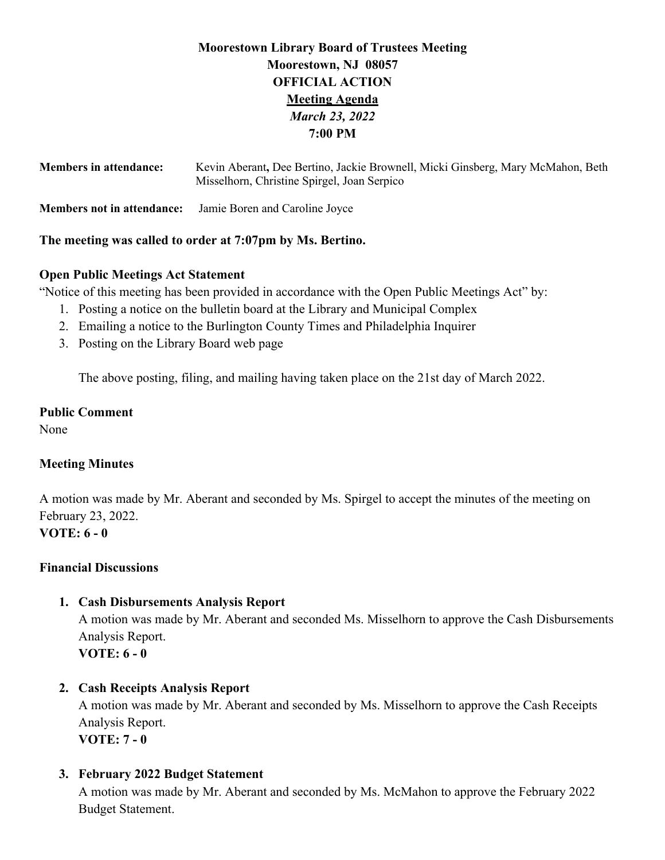# **Moorestown Library Board of Trustees Meeting Moorestown, NJ 08057 OFFICIAL ACTION Meeting Agenda** *March 23, 2022* **7:00 PM**

| <b>Members in attendance:</b>     | Kevin Aberant, Dee Bertino, Jackie Brownell, Micki Ginsberg, Mary McMahon, Beth<br>Misselhorn, Christine Spirgel, Joan Serpico |
|-----------------------------------|--------------------------------------------------------------------------------------------------------------------------------|
| <b>Members not in attendance:</b> | Jamie Boren and Caroline Joyce                                                                                                 |

#### **The meeting was called to order at 7:07pm by Ms. Bertino.**

## **Open Public Meetings Act Statement**

"Notice of this meeting has been provided in accordance with the Open Public Meetings Act" by:

- 1. Posting a notice on the bulletin board at the Library and Municipal Complex
- 2. Emailing a notice to the Burlington County Times and Philadelphia Inquirer
- 3. Posting on the Library Board web page

The above posting, filing, and mailing having taken place on the 21st day of March 2022.

## **Public Comment**

None

# **Meeting Minutes**

A motion was made by Mr. Aberant and seconded by Ms. Spirgel to accept the minutes of the meeting on February 23, 2022. **VOTE: 6 - 0**

## **Financial Discussions**

## **1. Cash Disbursements Analysis Report**

A motion was made by Mr. Aberant and seconded Ms. Misselhorn to approve the Cash Disbursements Analysis Report. **VOTE: 6 - 0**

## **2. Cash Receipts Analysis Report**

A motion was made by Mr. Aberant and seconded by Ms. Misselhorn to approve the Cash Receipts Analysis Report. **VOTE: 7 - 0**

## **3. February 2022 Budget Statement**

A motion was made by Mr. Aberant and seconded by Ms. McMahon to approve the February 2022 Budget Statement.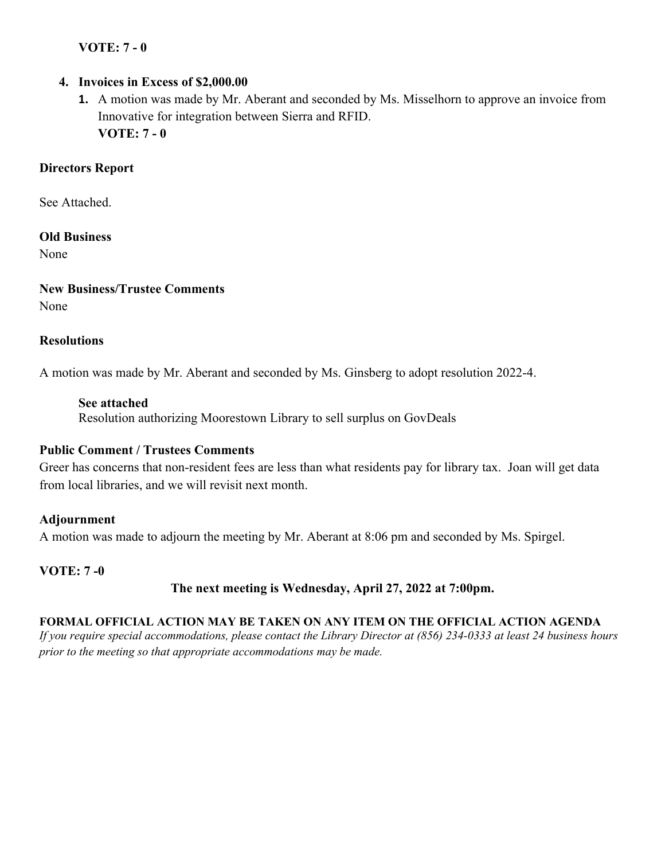# **VOTE: 7 - 0**

## **4. Invoices in Excess of \$2,000.00**

**1.** A motion was made by Mr. Aberant and seconded by Ms. Misselhorn to approve an invoice from Innovative for integration between Sierra and RFID. **VOTE: 7 - 0**

# **Directors Report**

See Attached.

## **Old Business**

None

**New Business/Trustee Comments** None

#### **Resolutions**

A motion was made by Mr. Aberant and seconded by Ms. Ginsberg to adopt resolution 2022-4.

#### **See attached**

Resolution authorizing Moorestown Library to sell surplus on GovDeals

## **Public Comment / Trustees Comments**

Greer has concerns that non-resident fees are less than what residents pay for library tax. Joan will get data from local libraries, and we will revisit next month.

## **Adjournment**

A motion was made to adjourn the meeting by Mr. Aberant at 8:06 pm and seconded by Ms. Spirgel.

## **VOTE: 7 -0**

# **The next meeting is Wednesday, April 27, 2022 at 7:00pm.**

## **FORMAL OFFICIAL ACTION MAY BE TAKEN ON ANY ITEM ON THE OFFICIAL ACTION AGENDA**

*If you require special accommodations, please contact the Library Director at (856) 234-0333 at least 24 business hours prior to the meeting so that appropriate accommodations may be made.*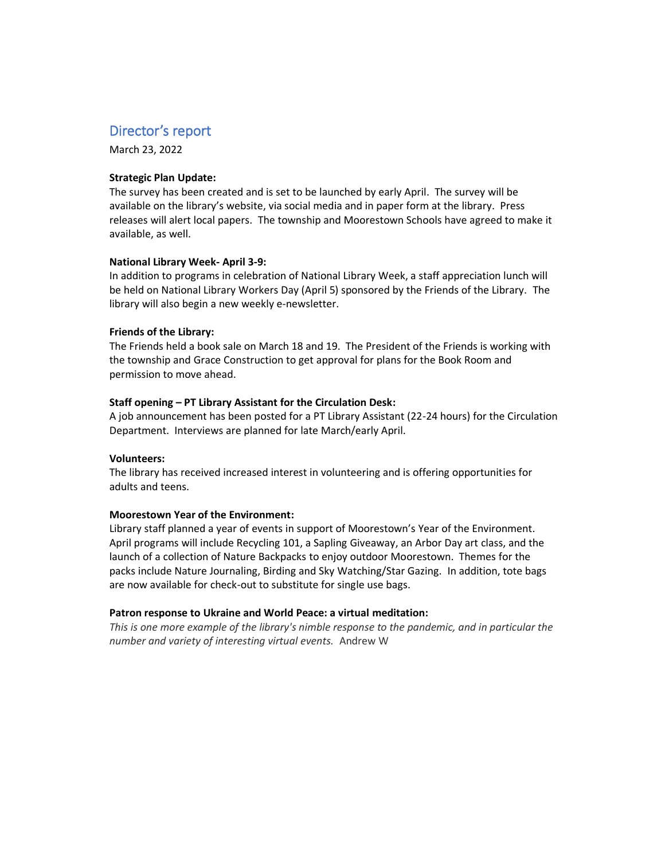# Director's report

March 23, 2022

#### **Strategic Plan Update:**

The survey has been created and is set to be launched by early April. The survey will be available on the library's website, via social media and in paper form at the library. Press releases will alert local papers. The township and Moorestown Schools have agreed to make it available, as well.

#### **National Library Week- April 3-9:**

In addition to programs in celebration of National Library Week, a staff appreciation lunch will be held on National Library Workers Day (April 5) sponsored by the Friends of the Library. The library will also begin a new weekly e-newsletter.

#### **Friends of the Library:**

The Friends held a book sale on March 18 and 19. The President of the Friends is working with the township and Grace Construction to get approval for plans for the Book Room and permission to move ahead.

#### **Staff opening ʹ PT Library Assistant for the Circulation Desk:**

A job announcement has been posted for a PT Library Assistant (22-24 hours) for the Circulation Department. Interviews are planned for late March/early April.

#### **Volunteers:**

The library has received increased interest in volunteering and is offering opportunities for adults and teens.

#### **Moorestown Year of the Environment:**

Library staff planned a year of events in support of Moorestown's Year of the Environment. April programs will include Recycling 101, a Sapling Giveaway, an Arbor Day art class, and the launch of a collection of Nature Backpacks to enjoy outdoor Moorestown. Themes for the packs include Nature Journaling, Birding and Sky Watching/Star Gazing. In addition, tote bags are now available for check-out to substitute for single use bags.

#### **Patron response to Ukraine and World Peace: a virtual meditation:**

*This is one more example of the library's nimble response to the pandemic, and in particular the number and variety of interesting virtual events.* Andrew W